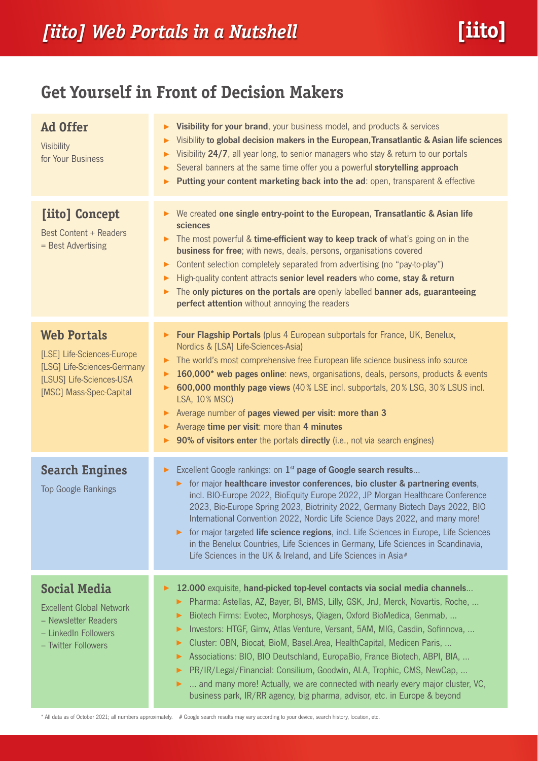# **Get Yourself in Front of Decision Makers**

| <b>Ad Offer</b><br><b>Visibility</b><br>for Your Business                                                                              | Visibility for your brand, your business model, and products & services<br>▶<br>Visibility to global decision makers in the European, Transatlantic & Asian life sciences<br>▶<br>Visibility 24/7, all year long, to senior managers who stay & return to our portals<br>▶<br>Several banners at the same time offer you a powerful storytelling approach<br>▶<br>Putting your content marketing back into the ad: open, transparent & effective<br>▶                                                                                                                                                                                                                                                                                                    |  |  |  |  |
|----------------------------------------------------------------------------------------------------------------------------------------|----------------------------------------------------------------------------------------------------------------------------------------------------------------------------------------------------------------------------------------------------------------------------------------------------------------------------------------------------------------------------------------------------------------------------------------------------------------------------------------------------------------------------------------------------------------------------------------------------------------------------------------------------------------------------------------------------------------------------------------------------------|--|--|--|--|
| [iito] Concept<br><b>Best Content + Readers</b><br>= Best Advertising                                                                  | We created one single entry-point to the European, Transatlantic & Asian life<br>▶<br>sciences<br>The most powerful & time-efficient way to keep track of what's going on in the<br>▶<br><b>business for free</b> ; with news, deals, persons, organisations covered<br>Content selection completely separated from advertising (no "pay-to-play")<br>▶<br>High-quality content attracts senior level readers who come, stay & return<br>▶<br>The only pictures on the portals are openly labelled banner ads, guaranteeing<br>▶<br>perfect attention without annoying the readers                                                                                                                                                                       |  |  |  |  |
| <b>Web Portals</b><br>[LSE] Life-Sciences-Europe<br>[LSG] Life-Sciences-Germany<br>[LSUS] Life-Sciences-USA<br>[MSC] Mass-Spec-Capital | Four Flagship Portals (plus 4 European subportals for France, UK, Benelux,<br>▶<br>Nordics & [LSA] Life-Sciences-Asia)<br>The world's most comprehensive free European life science business info source<br>▶<br>160,000* web pages online: news, organisations, deals, persons, products & events<br>▶<br>600,000 monthly page views (40% LSE incl. subportals, 20% LSG, 30% LSUS incl.<br>▶<br>LSA, 10% MSC)<br>Average number of pages viewed per visit: more than 3<br>▶<br>Average time per visit: more than 4 minutes<br>▶<br>90% of visitors enter the portals directly (i.e., not via search engines)<br>▶                                                                                                                                       |  |  |  |  |
| <b>Search Engines</b><br><b>Top Google Rankings</b>                                                                                    | Excellent Google rankings: on 1 <sup>st</sup> page of Google search results<br>▶.<br>for major healthcare investor conferences, bio cluster & partnering events,<br>▶.<br>incl. BIO-Europe 2022, BioEquity Europe 2022, JP Morgan Healthcare Conference<br>2023, Bio-Europe Spring 2023, Biotrinity 2022, Germany Biotech Days 2022, BIO<br>International Convention 2022, Nordic Life Science Days 2022, and many more!<br>for major targeted life science regions, incl. Life Sciences in Europe, Life Sciences<br>$\blacktriangleright$<br>in the Benelux Countries, Life Sciences in Germany, Life Sciences in Scandinavia,<br>Life Sciences in the UK & Ireland, and Life Sciences in Asia#                                                         |  |  |  |  |
| <b>Social Media</b><br><b>Excellent Global Network</b><br>- Newsletter Readers<br>- LinkedIn Followers<br>- Twitter Followers          | 12.000 exquisite, hand-picked top-level contacts via social media channels<br>▶<br>Pharma: Astellas, AZ, Bayer, BI, BMS, Lilly, GSK, JnJ, Merck, Novartis, Roche,<br>▶<br>Biotech Firms: Evotec, Morphosys, Qiagen, Oxford BioMedica, Genmab,<br>▶<br>Investors: HTGF, Gimv, Atlas Venture, Versant, 5AM, MIG, Casdin, Sofinnova,<br>▶<br>Cluster: OBN, Biocat, BioM, Basel.Area, HealthCapital, Medicen Paris,<br>▶<br>Associations: BIO, BIO Deutschland, EuropaBio, France Biotech, ABPI, BIA,<br>▶<br>PR/IR/Legal/Financial: Consilium, Goodwin, ALA, Trophic, CMS, NewCap,<br>▶<br>and many more! Actually, we are connected with nearly every major cluster, VC,<br>▶<br>business park, IR/RR agency, big pharma, advisor, etc. in Europe & beyond |  |  |  |  |

\* All data as of October 2021; all numbers approximately. # Google search results may vary according to your device, search history, location, etc.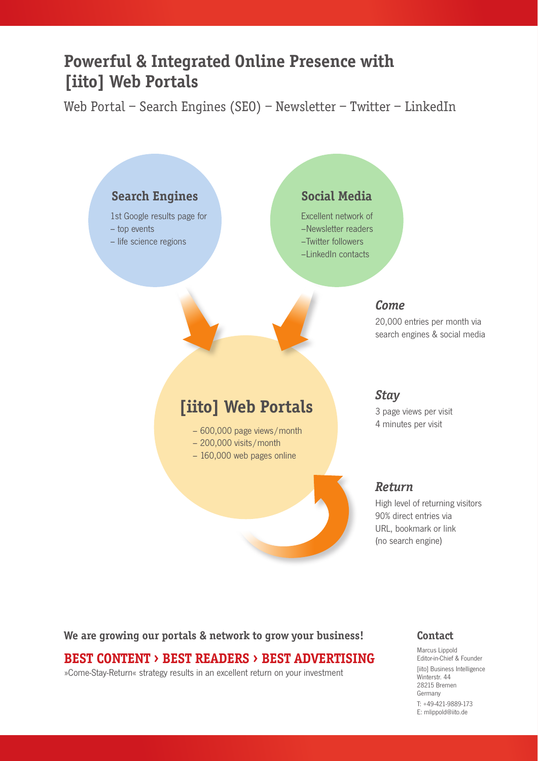## **Powerful & Integrated Online Presence with [iito] Web Portals**

Web Portal – Search Engines (SEO) – Newsletter – Twitter – LinkedIn



**We are growing our portals & network to grow your business!**

## **BEST CONTENT › BEST READERS › BEST ADVERTISING**

»Come-Stay-Return« strategy results in an excellent return on your investment

### **Contact**

Marcus Lippold Editor-in-Chief & Founder [iito] Business Intelligence Winterstr. 44 28215 Bremen Germany T: +49-421-9889-173 E: [mlippold@iito.de](mailto:mlippold@iito.de)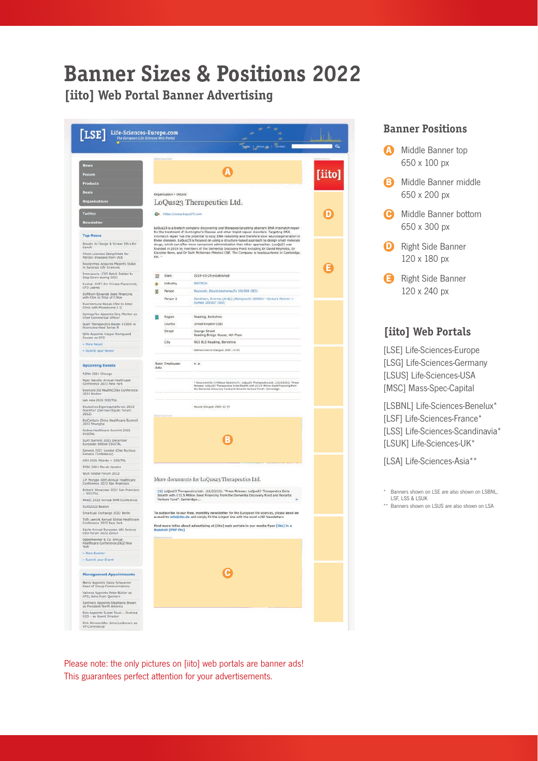# **Banner Sizes & Positions 2022**

**[iito] Web Portal Banner Advertising**

| [LSE]                                                                       |                                                                                                 |                                                                                                                                                                                                                                                                                                    |               |
|-----------------------------------------------------------------------------|-------------------------------------------------------------------------------------------------|----------------------------------------------------------------------------------------------------------------------------------------------------------------------------------------------------------------------------------------------------------------------------------------------------|---------------|
| Life-Sciences-Europe.com                                                    |                                                                                                 |                                                                                                                                                                                                                                                                                                    |               |
|                                                                             |                                                                                                 | Contact                                                                                                                                                                                                                                                                                            | $\alpha$      |
|                                                                             |                                                                                                 |                                                                                                                                                                                                                                                                                                    |               |
| <b>News</b>                                                                 |                                                                                                 |                                                                                                                                                                                                                                                                                                    |               |
| People                                                                      |                                                                                                 |                                                                                                                                                                                                                                                                                                    | <u>[iito]</u> |
| Products                                                                    |                                                                                                 |                                                                                                                                                                                                                                                                                                    |               |
| Deals                                                                       | Organisation > Details                                                                          |                                                                                                                                                                                                                                                                                                    |               |
| <b>Organisations</b>                                                        | LoQus23 Therapeutics Ltd.                                                                       |                                                                                                                                                                                                                                                                                                    |               |
| Twitter                                                                     | O* https://www.loqus23.com                                                                      |                                                                                                                                                                                                                                                                                                    |               |
| Newsletter                                                                  |                                                                                                 |                                                                                                                                                                                                                                                                                                    |               |
| <b>Top News</b>                                                             |                                                                                                 | LoQus23 is a blotech company discovering oral therapies targeting aberrant DNA mismatch repair<br>for the treatment of Huntington's Disease and other triplet repeat disorders. Targeting DNA<br>mismatch repair has the potential to stop DNA instability and therefore slow neurodegeneration in |               |
| Novalix to Design & Screen DELs for                                         | these diseases. LoQus23 is focused on using a structure-based approach to design small molecule |                                                                                                                                                                                                                                                                                                    |               |
| Sanofi<br>Chiesi Licenses Zampilimab for                                    |                                                                                                 | drugs, which can offer more convenient administration than other approaches. LouQs23 was<br>founded in 2019 by members of the Dementia Discovery Fund including Dr David Reynolds, Dr<br>Caroline Benn, and Dr Ruth McKernan FMedsci CBE. The Company is headquartered in Cambridge,               |               |
| Fibrotic Diseases from UCB                                                  | UK. *                                                                                           |                                                                                                                                                                                                                                                                                                    |               |
| Novozymes Acquires Majority Stake<br>in Synergia Life Sciences              |                                                                                                 |                                                                                                                                                                                                                                                                                                    |               |
| Immunovia: CEO Patrik Dahlen to<br>Step Down during 2022                    | Start<br>$\Box$                                                                                 | 2019-03-29 established                                                                                                                                                                                                                                                                             |               |
| Evolva: CHF7.5m Private Placement;<br>CFO Leaves                            | Industry<br>۰                                                                                   | <b>BIOTECH</b>                                                                                                                                                                                                                                                                                     |               |
| SciRhom Epxands Seed Financing<br>with E8m to Total of £16m                 | Person                                                                                          | Reynolds, David (AstronauTx 201908 CEO)                                                                                                                                                                                                                                                            |               |
| EverImmune Reises C5m to Enter<br>Clinic with Microbiome I-O                | Person 2                                                                                        | Sandham, Andrew (Andy) (Abingworth 200601- Venture Partner +<br>Kymab 201007 CEO)                                                                                                                                                                                                                  |               |
| SphingoTec Appoints 3org Menton as                                          |                                                                                                 |                                                                                                                                                                                                                                                                                                    |               |
| Chief Commercial Officer<br>Quell Therapeutics Raises \$156m in             | Region<br>Country                                                                               | Reading, Berkshire<br>United Kingdom (GB)                                                                                                                                                                                                                                                          |               |
| Oversubscribed Series B                                                     | Street                                                                                          | George Street                                                                                                                                                                                                                                                                                      |               |
| Qlf# Appoints Kasper Damgaard<br>Rousee as CFO                              | City                                                                                            | Reading Bridge House, 4th Floor<br>RG1 BLS Reading, Berkshire                                                                                                                                                                                                                                      |               |
| - More News!<br>- Submit your News!                                         |                                                                                                 | Address record changed: 2021-11-26                                                                                                                                                                                                                                                                 |               |
|                                                                             |                                                                                                 |                                                                                                                                                                                                                                                                                                    |               |
| <b>Upcoming Events</b>                                                      | <b>Basic Employees</b><br>data                                                                  | n.a.                                                                                                                                                                                                                                                                                               |               |
| RSNA 2021 Chicago                                                           |                                                                                                 |                                                                                                                                                                                                                                                                                                    |               |
| Piper Sandler Annual Healthcare.<br>Conference 2021 New York                |                                                                                                 | * Document for il hisbout Sections/h: LoQus23 Therapeutics Ltd. (11/21/21). "Press.<br>Release: LoQus23 Therapeutics Extrs Stealth with £11.5 Million Seed Financing from<br>the Dementia Discovery Fund and Novartis Venture Fund".                                                               |               |
| Evercore ISI HealthCONx Conference<br>2021 Boston                           |                                                                                                 |                                                                                                                                                                                                                                                                                                    |               |
| Lab Asia 2021 DIGITAL                                                       |                                                                                                 |                                                                                                                                                                                                                                                                                                    |               |
| Deutsches Eigenkapitalforum 2022<br>Frankfurt (German Equity Forum<br>2022) |                                                                                                 | Record changed: 2021-11-27                                                                                                                                                                                                                                                                         |               |
| BloCentury China Healthcare Summit<br>2022 Shanghai                         |                                                                                                 |                                                                                                                                                                                                                                                                                                    |               |
| Forbes Healthcare Summit 2021<br>DIGITAL                                    |                                                                                                 |                                                                                                                                                                                                                                                                                                    |               |
| SLAT Summit 2021 December<br>European Edition DIGITAL                       |                                                                                                 |                                                                                                                                                                                                                                                                                                    |               |
| Genesis 2021 London (One Nucleus                                            |                                                                                                 |                                                                                                                                                                                                                                                                                                    |               |
| Genesis Conference)<br>ASH 2021 Atlanta + DIGITAL                           |                                                                                                 |                                                                                                                                                                                                                                                                                                    |               |
| IMSC 2021 Rio de Janeiro                                                    |                                                                                                 |                                                                                                                                                                                                                                                                                                    |               |
| WuXi Global Forum 2022<br>LP. Morgan 40th Annual Healthcare                 |                                                                                                 | More documents for LoQus23 Therapeutics Ltd.                                                                                                                                                                                                                                                       |               |
| Conference 2022 San Francisco                                               |                                                                                                 |                                                                                                                                                                                                                                                                                                    |               |
| Biotech Showcase 2022 San Francisco<br>+ DIGITAL                            |                                                                                                 | [1] LoQus23 Therapeutics Ltd., (11/23/21). "Press Release: LoQus23 Therapeutics Exits<br>Stealth with £11.5 Million Seed Financing from the Dementia Discovery Fund and Novartis                                                                                                                   |               |
| PANIC 2022 Annual NMR Conference<br>SLAS2022 Boston                         | Venture Fund <sup>+</sup> . Cambridge                                                           |                                                                                                                                                                                                                                                                                                    |               |
| SmartLab Exchange 2022 Berlin                                               |                                                                                                 | To subscribe to our free, monthly newsletter for the European life sciences; please send an                                                                                                                                                                                                        |               |
| SVB Leerink Annual Global Healthcare<br>Conference 2022 New York            |                                                                                                 | e-mail to info@lito.de and simply fill the subject line with the word »LSE Newsletter«                                                                                                                                                                                                             |               |
| Sachs Annual European Life Science<br>CEO Forum 2022 Zürich                 | Nutshell (PDF file)                                                                             | Find more infos about advertising at [iito] web portals in our media flyer [iito] in a                                                                                                                                                                                                             |               |
| Opponheimer & Co. Annual<br>Healthcare Conference 2022 New<br>York          |                                                                                                 |                                                                                                                                                                                                                                                                                                    |               |
| » More Events!                                                              |                                                                                                 |                                                                                                                                                                                                                                                                                                    |               |
| - Submit your Event!                                                        |                                                                                                 |                                                                                                                                                                                                                                                                                                    |               |
|                                                                             |                                                                                                 |                                                                                                                                                                                                                                                                                                    |               |
| <b>Management Appointments</b>                                              |                                                                                                 |                                                                                                                                                                                                                                                                                                    |               |
| Merck Appoints Sabia Schwarzer<br>Head of Group Communications              |                                                                                                 |                                                                                                                                                                                                                                                                                                    |               |
| Valneva Appoints Peter Bottler as<br>CFO; Joins from Quotient               |                                                                                                 |                                                                                                                                                                                                                                                                                                    |               |
| Santhera Appoints Stephanie Brown<br>as President North America             |                                                                                                 |                                                                                                                                                                                                                                                                                                    |               |
| Bico Appoints Susan Tousi - Blumina<br>CCO - as Board Director              |                                                                                                 |                                                                                                                                                                                                                                                                                                    |               |
| Dirk Winnemöller Joins Leukocare as<br>VB C<br>hermoment                    |                                                                                                 |                                                                                                                                                                                                                                                                                                    |               |

### **Banner Positions**

- **A** Middle Banner top 650 x 100 px
- **B** Middle Banner middle 650 x 200 px
- **C** Middle Banner bottom 650 x 300 px
- **D** Right Side Banner 120 x 180 px
- **E** Right Side Banner 120 x 240 px

### **[iito] Web Portals**

[\[LSE\] Life-Sciences-Europe](https://www.life-sciences-europe.com/) [\[LSG\] Life-Sciences-Germany](https://www.life-sciences-germany.com/) [\[LSUS\] Life-Sciences-USA](https://www.life-sciences-usa.com/) [\[MSC\] Mass-Spec-Capital](https://www.mass-spec-capital.com/)

[\[LSBNL\] Life-Sciences-Benelux](https://www.life-sciences-benelux.com/)\* [\[LSF\] Life-Sciences-France](https://www.life-sciences-france.com/)\* [\[LSS\] Life-Sciences-Scandinavia\\*](https://www.life-sciences-scandinavia.com/) [\[LSUK\] Life-Sciences-UK\\*](https://www.life-sciences-uk.com/)

[\[LSA\] Life-Sciences-Asia\\*](https://www.life-sciences-asia.com/)\*

\* Banners shown on LSE are also shown on LSBNL, LSF, LSS & LSUK

- 
- \*\* Banners shown on LSUS are also shown on LSA

Please note: the only pictures on [iito] web portals are banner ads! This guarantees perfect attention for your advertisements.